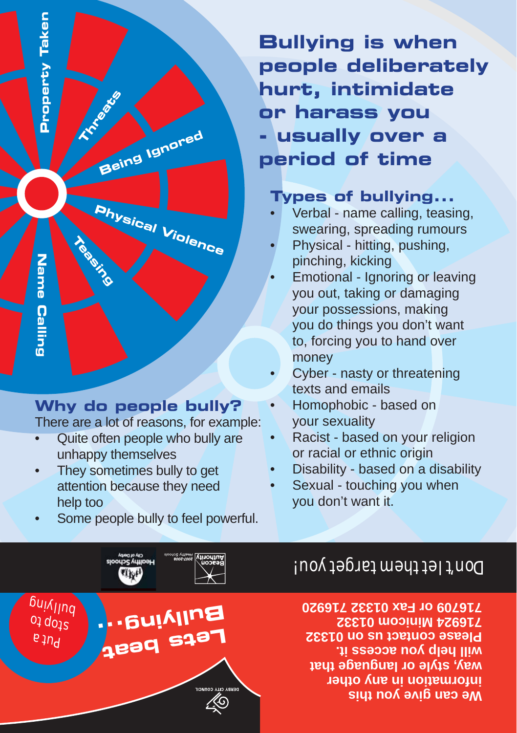

#### **Types of bullying...**

- Verbal name calling, teasing, swearing, spreading rumours •
- Physical hitting, pushing, pinching, kicking •
- Emotional Ignoring or leaving you out, taking or damaging your possessions, making you do things you don't want to, forcing you to hand over money •
- Cyber nasty or threatening texts and emails •
- Homophobic based on your sexuality •
- Racist based on your religion or racial or ethnic origin •
- Disability based on a disability •
- Sexual touching you when you don't want it. •

## Don't let them target you!

**We can give you this information in any other way, style or language that will help you access it. Please contact us on 01332 716924 Minicom 01332 716709 or Fax 01332 716920**

# Property Taken **Property Taken Threats Being Ignored Physical V Teasing iolence** Name Calling **Name Calling**

## **Why do people bully?**

There are a lot of reasons, for example:

- Quite often people who bully are unhappy themselves •
- They sometimes bully to get attention because they need help too •
- Some people bully to feel powerful. •